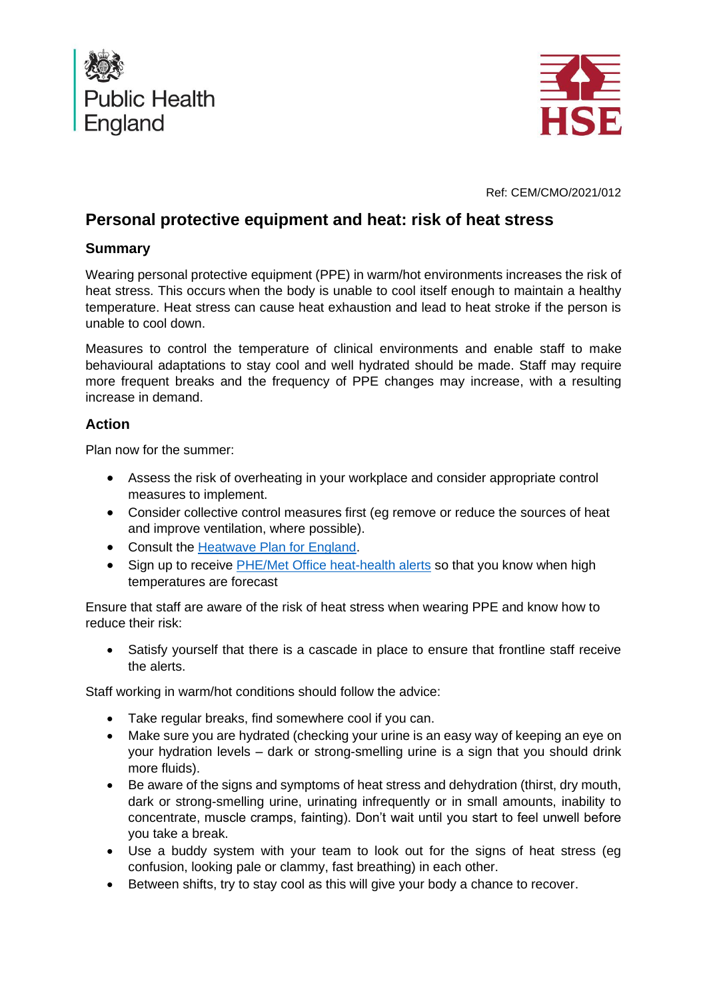



Ref: CEM/CMO/2021/012

# **Personal protective equipment and heat: risk of heat stress**

### **Summary**

Wearing personal protective equipment (PPE) in warm/hot environments increases the risk of heat stress. This occurs when the body is unable to cool itself enough to maintain a healthy temperature. Heat stress can cause heat exhaustion and lead to heat stroke if the person is unable to cool down.

Measures to control the temperature of clinical environments and enable staff to make behavioural adaptations to stay cool and well hydrated should be made. Staff may require more frequent breaks and the frequency of PPE changes may increase, with a resulting increase in demand.

## **Action**

Plan now for the summer:

- Assess the risk of overheating in your workplace and consider appropriate control measures to implement.
- Consider collective control measures first (eg remove or reduce the sources of heat and improve ventilation, where possible).
- Consult the [Heatwave Plan for England.](https://www.gov.uk/government/publications/heatwave-plan-for-england)
- Sign up to receive [PHE/Met Office heat-health alerts](https://www.metoffice.gov.uk/public/weather/heat-health/?tab=heatHealth&season=normal) so that you know when high temperatures are forecast

Ensure that staff are aware of the risk of heat stress when wearing PPE and know how to reduce their risk:

• Satisfy yourself that there is a cascade in place to ensure that frontline staff receive the alerts.

Staff working in warm/hot conditions should follow the advice:

- Take regular breaks, find somewhere cool if you can.
- Make sure you are hydrated (checking your urine is an easy way of keeping an eye on your hydration levels – dark or strong-smelling urine is a sign that you should drink more fluids).
- Be aware of the signs and symptoms of heat stress and dehydration (thirst, dry mouth, dark or strong-smelling urine, urinating infrequently or in small amounts, inability to concentrate, muscle cramps, fainting). Don't wait until you start to feel unwell before you take a break.
- Use a buddy system with your team to look out for the signs of heat stress (eg confusion, looking pale or clammy, fast breathing) in each other.
- Between shifts, try to stay cool as this will give your body a chance to recover.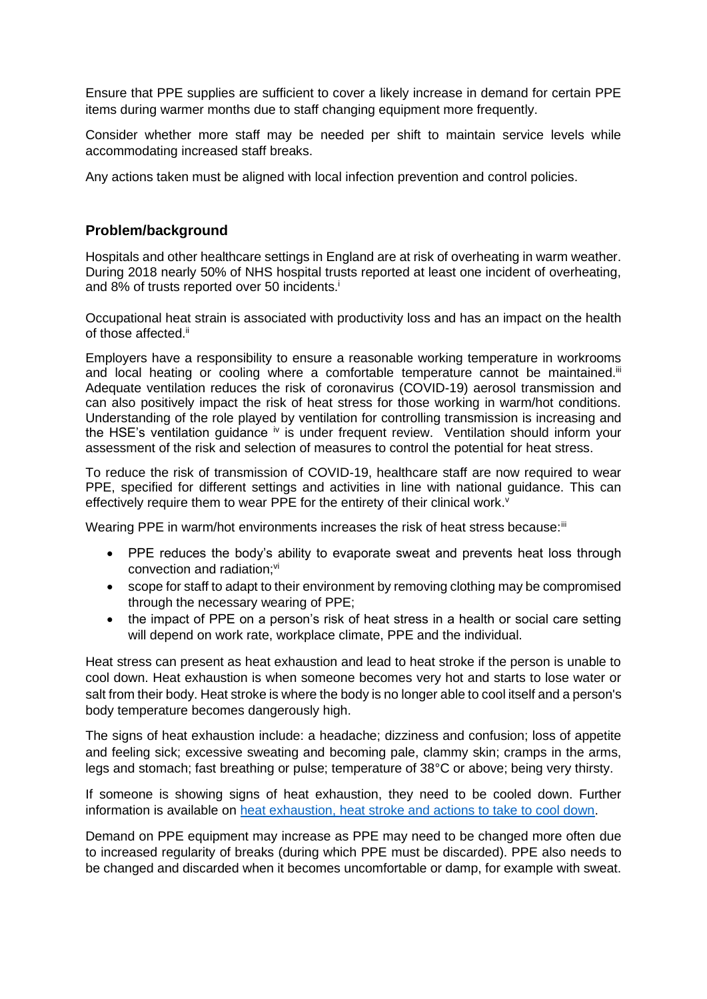Ensure that PPE supplies are sufficient to cover a likely increase in demand for certain PPE items during warmer months due to staff changing equipment more frequently.

Consider whether more staff may be needed per shift to maintain service levels while accommodating increased staff breaks.

Any actions taken must be aligned with local infection prevention and control policies.

### **Problem/background**

Hospitals and other healthcare settings in England are at risk of overheating in warm weather. During 2018 nearly 50% of NHS hospital trusts reported at least one incident of overheating, and 8% of trusts reported over 50 incidents.<sup>i</sup>

Occupational heat strain is associated with productivity loss and has an impact on the health of those affected.<sup>ii</sup>

Employers have a responsibility to ensure a reasonable working temperature in workrooms and local heating or cooling where a comfortable temperature cannot be maintained.<sup>ii</sup> Adequate ventilation reduces the risk of coronavirus (COVID-19) aerosol transmission and can also positively impact the risk of heat stress for those working in warm/hot conditions. Understanding of the role played by ventilation for controlling transmission is increasing and the HSE's ventilation guidance iv is under frequent review. Ventilation should inform your assessment of the risk and selection of measures to control the potential for heat stress.

To reduce the risk of transmission of COVID-19, healthcare staff are now required to wear PPE, specified for different settings and activities in line with national guidance. This can effectively require them to wear PPE for the entirety of their clinical work.<sup>v</sup>

Wearing PPE in warm/hot environments increases the risk of heat stress because:<sup>iii</sup>

- PPE reduces the body's ability to evaporate sweat and prevents heat loss through convection and radiation:<sup>vi</sup>
- scope for staff to adapt to their environment by removing clothing may be compromised through the necessary wearing of PPE;
- the impact of PPE on a person's risk of heat stress in a health or social care setting will depend on work rate, workplace climate, PPE and the individual.

Heat stress can present as heat exhaustion and lead to heat stroke if the person is unable to cool down. Heat exhaustion is when someone becomes very hot and starts to lose water or salt from their body. Heat stroke is where the body is no longer able to cool itself and a person's body temperature becomes dangerously high.

The signs of heat exhaustion include: a headache; dizziness and confusion; loss of appetite and feeling sick; excessive sweating and becoming pale, clammy skin; cramps in the arms, legs and stomach; fast breathing or pulse; temperature of 38°C or above; being very thirsty.

If someone is showing signs of heat exhaustion, they need to be cooled down. Further information is available on [heat exhaustion, heat stroke and actions to take to cool down.](https://www.nhs.uk/conditions/heat-exhaustion-heatstroke/)

Demand on PPE equipment may increase as PPE may need to be changed more often due to increased regularity of breaks (during which PPE must be discarded). PPE also needs to be changed and discarded when it becomes uncomfortable or damp, for example with sweat.